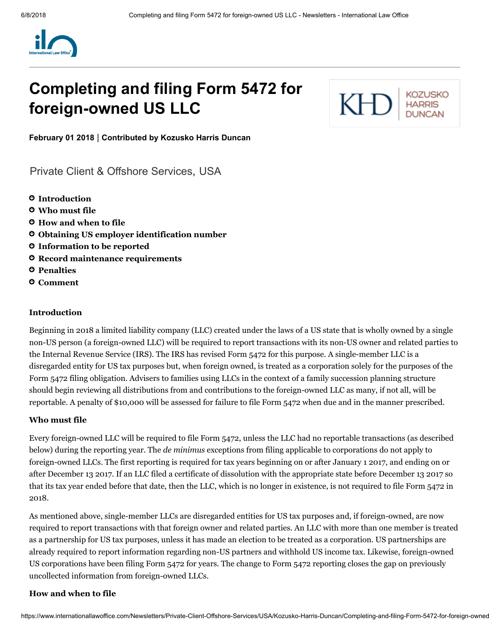

# Completing and filing Form 5472 for foreign-owned US LLC



February 01 2018 | Contributed by [Kozusko](https://www.internationallawoffice.com/Directory/Kozusko-Harris-Duncan/New-York-NY) Harris Duncan

[Private Client & Offshore Services,](https://www.internationallawoffice.com/Search?at=Updates&cfn=Kozusko+Harris+Duncan&ws=Private+Client+%26+Offshore+Services) [USA](https://www.internationallawoffice.com/Search?at=Updates&cfn=Kozusko+Harris+Duncan&js=USA)

- **O** [Introduction](#page-0-0)
- Who must file
- How and when to file
- Obtaining US employer identification number
- Information to be reported
- **O** Record maintenance requirements
- **O** [Penalties](#page-3-0)
- [Comment](#page-3-1)

#### <span id="page-0-0"></span>Introduction

Beginning in 2018 a limited liability company (LLC) created under the laws of a US state that is wholly owned by a single non-US person (a foreign-owned LLC) will be required to report transactions with its non-US owner and related parties to the Internal Revenue Service (IRS). The IRS has revised Form 5472 for this purpose. A single-member LLC is a disregarded entity for US tax purposes but, when foreign owned, is treated as a corporation solely for the purposes of the Form 5472 filing obligation. Advisers to families using LLCs in the context of a family succession planning structure should begin reviewing all distributions from and contributions to the foreign-owned LLC as many, if not all, will be reportable. A penalty of \$10,000 will be assessed for failure to file Form 5472 when due and in the manner prescribed.

#### Who must file

Every foreign-owned LLC will be required to file Form 5472, unless the LLC had no reportable transactions (as described below) during the reporting year. The *de minimus* exceptions from filing applicable to corporations do not apply to foreign-owned LLCs. The first reporting is required for tax years beginning on or after January 1 2017, and ending on or after December 13 2017. If an LLC filed a certificate of dissolution with the appropriate state before December 13 2017 so that its tax year ended before that date, then the LLC, which is no longer in existence, is not required to file Form 5472 in 2018.

As mentioned above, single-member LLCs are disregarded entities for US tax purposes and, if foreign-owned, are now required to report transactions with that foreign owner and related parties. An LLC with more than one member is treated as a partnership for US tax purposes, unless it has made an election to be treated as a corporation. US partnerships are already required to report information regarding non-US partners and withhold US income tax. Likewise, foreign-owned US corporations have been filing Form 5472 for years. The change to Form 5472 reporting closes the gap on previously uncollected information from foreign-owned LLCs.

#### How and when to file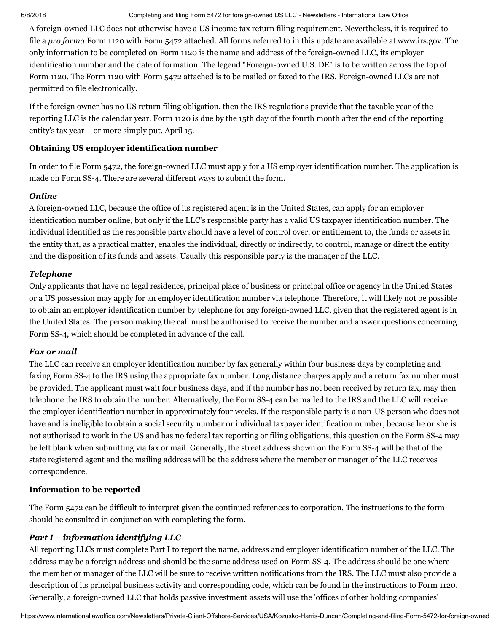#### 6/8/2018 Completing and filing Form 5472 for foreign-owned US LLC - Newsletters - International Law Office

A foreign-owned LLC does not otherwise have a US income tax return filing requirement. Nevertheless, it is required to file a *pro forma* Form 1120 with Form 5472 attached. All forms referred to in this update are available at [www.irs.gov](file://intranet.gbp.co.uk/Public/Win8Profiles/mbeller/Documents/Edited%20Docs/www.irs.gov). The only information to be completed on Form 1120 is the name and address of the foreign-owned LLC, its employer identification number and the date of formation. The legend "Foreign-owned U.S. DE" is to be written across the top of Form 1120. The Form 1120 with Form 5472 attached is to be mailed or faxed to the IRS. Foreign-owned LLCs are not permitted to file electronically.

If the foreign owner has no US return filing obligation, then the IRS regulations provide that the taxable year of the reporting LLC is the calendar year. Form 1120 is due by the 15th day of the fourth month after the end of the reporting entity's tax year – or more simply put, April 15.

#### Obtaining US employer identification number

In order to file Form 5472, the foreign-owned LLC must apply for a US employer identification number. The application is made on Form SS-4. There are several different ways to submit the form.

#### *Online*

A foreign-owned LLC, because the office of its registered agent is in the United States, can apply for an employer identification number online, but only if the LLC's responsible party has a valid US taxpayer identification number. The individual identified as the responsible party should have a level of control over, or entitlement to, the funds or assets in the entity that, as a practical matter, enables the individual, directly or indirectly, to control, manage or direct the entity and the disposition of its funds and assets. Usually this responsible party is the manager of the LLC.

#### *Telephone*

Only applicants that have no legal residence, principal place of business or principal office or agency in the United States or a US possession may apply for an employer identification number via telephone. Therefore, it will likely not be possible to obtain an employer identification number by telephone for any foreign-owned LLC, given that the registered agent is in the United States. The person making the call must be authorised to receive the number and answer questions concerning Form SS-4, which should be completed in advance of the call.

#### *Fax or mail*

The LLC can receive an employer identification number by fax generally within four business days by completing and faxing Form SS-4 to the IRS using the appropriate fax number. Long distance charges apply and a return fax number must be provided. The applicant must wait four business days, and if the number has not been received by return fax, may then telephone the IRS to obtain the number. Alternatively, the Form SS-4 can be mailed to the IRS and the LLC will receive the employer identification number in approximately four weeks. If the responsible party is a non-US person who does not have and is ineligible to obtain a social security number or individual taxpayer identification number, because he or she is not authorised to work in the US and has no federal tax reporting or filing obligations, this question on the Form SS-4 may be left blank when submitting via fax or mail. Generally, the street address shown on the Form SS-4 will be that of the state registered agent and the mailing address will be the address where the member or manager of the LLC receives correspondence.

#### Information to be reported

The Form 5472 can be difficult to interpret given the continued references to corporation. The instructions to the form should be consulted in conjunction with completing the form.

#### *Part I – information identifying LLC*

All reporting LLCs must complete Part I to report the name, address and employer identification number of the LLC. The address may be a foreign address and should be the same address used on Form SS-4. The address should be one where the member or manager of the LLC will be sure to receive written notifications from the IRS. The LLC must also provide a description of its principal business activity and corresponding code, which can be found in the instructions to Form 1120. Generally, a foreign-owned LLC that holds passive investment assets will use the 'offices of other holding companies'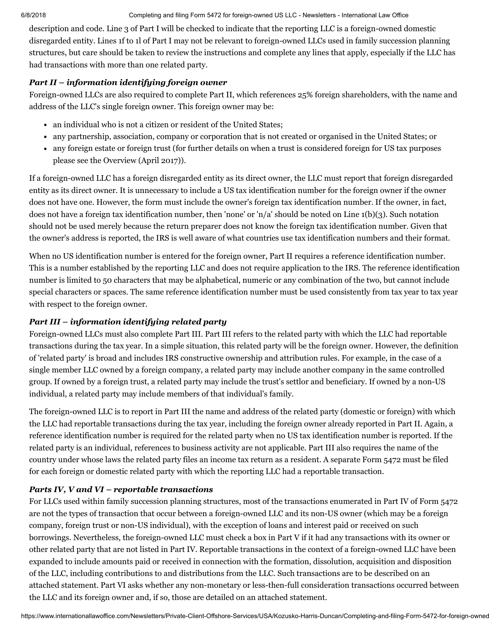#### 6/8/2018 Completing and filing Form 5472 for foreign-owned US LLC - Newsletters - International Law Office

description and code. Line 3 of Part I will be checked to indicate that the reporting LLC is a foreign-owned domestic disregarded entity. Lines 1f to 1l of Part I may not be relevant to foreign-owned LLCs used in family succession planning structures, but care should be taken to review the instructions and complete any lines that apply, especially if the LLC has had transactions with more than one related party.

## *Part II – information identifying foreign owner*

Foreign-owned LLCs are also required to complete Part II, which references 25% foreign shareholders, with the name and address of the LLC's single foreign owner. This foreign owner may be:

- an individual who is not a citizen or resident of the United States;
- any partnership, association, company or corporation that is not created or organised in the United States; or
- any foreign estate or foreign trust (for further details on when a trust is considered foreign for US tax purposes please see the [Overview](http://www.internationallawoffice.com/Newsletters/Offshore-Services/USA/Kozusko-Harris-Duncan/Overview-April-2017) (April 2017)).

If a foreign-owned LLC has a foreign disregarded entity as its direct owner, the LLC must report that foreign disregarded entity as its direct owner. It is unnecessary to include a US tax identification number for the foreign owner if the owner does not have one. However, the form must include the owner's foreign tax identification number. If the owner, in fact, does not have a foreign tax identification number, then 'none' or 'n/a' should be noted on Line  $1(b)(3)$ . Such notation should not be used merely because the return preparer does not know the foreign tax identification number. Given that the owner's address is reported, the IRS is well aware of what countries use tax identification numbers and their format.

When no US identification number is entered for the foreign owner, Part II requires a reference identification number. This is a number established by the reporting LLC and does not require application to the IRS. The reference identification number is limited to 50 characters that may be alphabetical, numeric or any combination of the two, but cannot include special characters or spaces. The same reference identification number must be used consistently from tax year to tax year with respect to the foreign owner.

# *Part III – information identifying related party*

Foreign-owned LLCs must also complete Part III. Part III refers to the related party with which the LLC had reportable transactions during the tax year. In a simple situation, this related party will be the foreign owner. However, the definition of 'related party' is broad and includes IRS constructive ownership and attribution rules. For example, in the case of a single member LLC owned by a foreign company, a related party may include another company in the same controlled group. If owned by a foreign trust, a related party may include the trust's settlor and beneficiary. If owned by a non-US individual, a related party may include members of that individual's family.

The foreign-owned LLC is to report in Part III the name and address of the related party (domestic or foreign) with which the LLC had reportable transactions during the tax year, including the foreign owner already reported in Part II. Again, a reference identification number is required for the related party when no US tax identification number is reported. If the related party is an individual, references to business activity are not applicable. Part III also requires the name of the country under whose laws the related party files an income tax return as a resident. A separate Form 5472 must be filed for each foreign or domestic related party with which the reporting LLC had a reportable transaction.

# *Parts IV, V and VI – reportable transactions*

For LLCs used within family succession planning structures, most of the transactions enumerated in Part IV of Form 5472 are not the types of transaction that occur between a foreign-owned LLC and its non-US owner (which may be a foreign company, foreign trust or non-US individual), with the exception of loans and interest paid or received on such borrowings. Nevertheless, the foreign-owned LLC must check a box in Part V if it had any transactions with its owner or other related party that are not listed in Part IV. Reportable transactions in the context of a foreign-owned LLC have been expanded to include amounts paid or received in connection with the formation, dissolution, acquisition and disposition of the LLC, including contributions to and distributions from the LLC. Such transactions are to be described on an attached statement. Part VI asks whether any non-monetary or less-then-full consideration transactions occurred between the LLC and its foreign owner and, if so, those are detailed on an attached statement.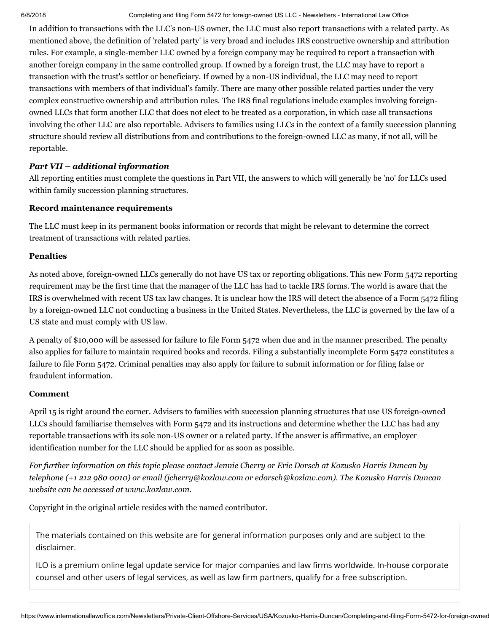6/8/2018 Completing and filing Form 5472 for foreign-owned US LLC - Newsletters - International Law Office

In addition to transactions with the LLC's non-US owner, the LLC must also report transactions with a related party. As mentioned above, the definition of 'related party' is very broad and includes IRS constructive ownership and attribution rules. For example, a single-member LLC owned by a foreign company may be required to report a transaction with another foreign company in the same controlled group. If owned by a foreign trust, the LLC may have to report a transaction with the trust's settlor or beneficiary. If owned by a non-US individual, the LLC may need to report transactions with members of that individual's family. There are many other possible related parties under the very complex constructive ownership and attribution rules. The IRS final regulations include examples involving foreignowned LLCs that form another LLC that does not elect to be treated as a corporation, in which case all transactions involving the other LLC are also reportable. Advisers to families using LLCs in the context of a family succession planning structure should review all distributions from and contributions to the foreign-owned LLC as many, if not all, will be reportable.

### *Part VII – additional information*

All reporting entities must complete the questions in Part VII, the answers to which will generally be 'no' for LLCs used within family succession planning structures.

#### Record maintenance requirements

The LLC must keep in its permanent books information or records that might be relevant to determine the correct treatment of transactions with related parties.

#### <span id="page-3-0"></span>**Penalties**

As noted above, foreign-owned LLCs generally do not have US tax or reporting obligations. This new Form 5472 reporting requirement may be the first time that the manager of the LLC has had to tackle IRS forms. The world is aware that the IRS is overwhelmed with recent US tax law changes. It is unclear how the IRS will detect the absence of a Form 5472 filing by a foreign-owned LLC not conducting a business in the United States. Nevertheless, the LLC is governed by the law of a US state and must comply with US law.

A penalty of \$10,000 will be assessed for failure to file Form 5472 when due and in the manner prescribed. The penalty also applies for failure to maintain required books and records. Filing a substantially incomplete Form 5472 constitutes a failure to file Form 5472. Criminal penalties may also apply for failure to submit information or for filing false or fraudulent information.

#### <span id="page-3-1"></span>Comment

April 15 is right around the corner. Advisers to families with succession planning structures that use US foreign-owned LLCs should familiarise themselves with Form 5472 and its instructions and determine whether the LLC has had any reportable transactions with its sole non-US owner or a related party. If the answer is affirmative, an employer identification number for the LLC should be applied for as soon as possible.

For further information on this topic please contact Jennie [Cherry](http://www.internationallawoffice.com/directory/biography.aspx?r=36050) or Eric [Dorsch](http://www.internationallawoffice.com/Directory/biography.aspx?g=134ccb8a-22b4-417a-99fa-b29dd717d3cc) at Kozusko Harris Duncan by *telephone (+1 212 980 0010) or email ([jcherry@kozlaw.com](mailto:jcherry@kozlaw.com?subject=Article%20on%20ILO) or [edorsch@kozlaw.com\)](mailto:edorsch@kozlaw.com). The Kozusko Harris Duncan website can be accessed at [www.kozlaw.com.](http://www.kozlaw.com/)*

Copyright in the original article resides with the named contributor.

The materials contained on this website are for general information purposes only and are subject to the [disclaimer.](https://www.internationallawoffice.com/Information/Disclaimer)

ILO is a premium online legal update service for major companies and law firms worldwide. In-house corporate counsel and other users of legal services, as well as law firm partners, qualify for a free subscription.